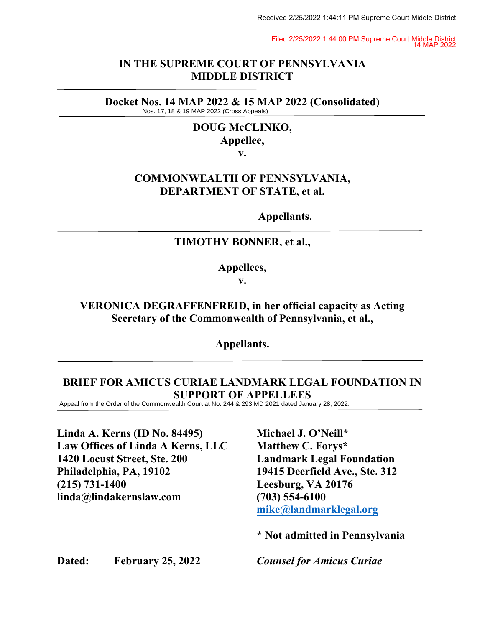Filed 2/25/2022 1:44:00 PM Supreme Court Middle District 14 MAP 2022

#### **IN THE SUPREME COURT OF PENNSYLVANIA MIDDLE DISTRICT**

**Docket Nos. 14 MAP 2022 & 15 MAP 2022 (Consolidated)**<br>Nos. 17, 18 & 19 MAP 2022 (Cross Appeals)

# **DOUG McCLINKO, Appellee,**

**v.**

### **COMMONWEALTH OF PENNSYLVANIA, DEPARTMENT OF STATE, et al.**

**Appellants.** 

### **TIMOTHY BONNER, et al.,**

**Appellees,**

**v.**

**VERONICA DEGRAFFENFREID, in her official capacity as Acting Secretary of the Commonwealth of Pennsylvania, et al.,** Nos. 17. 18 & 19 MAP 2022 (Cross Appealia<br>
DOUG McCLINKO,<br>
Appellee,<br>
v.<br>
COMMONWEALTH OF PENNSYLVANIA,<br>
DEPARTMENT OF STATE, et al.<br>
Appellants.<br>
TIMOTHY BONNER, et al.,<br>
Appellees,<br>
v.<br>
VERONICA DEGRAFFENFREID, in her o

**Appellants.**

# **BRIEF FOR AMICUS CURIAE LANDMARK LEGAL FOUNDATION IN SUPPORT OF APPELLEES**<br>Appeal from the Order of the Commonwealth Court at No. 244 & 293 MD 2021 dated January 28, 2022.

**Linda A. Kerns (ID No. 84495) Michael J. O'Neill\* Law Offices of Linda A Kerns, LLC Matthew C. Forys\* 1420 Locust Street, Ste. 200 Landmark Legal Foundation Philadelphia, PA, 19102 19415 Deerfield Ave., Ste. 312 (215) 731-1400 Leesburg, VA 20176 linda@lindakernslaw.com (703) 554-6100**

 **[mike@landmarklegal.org](mailto:mike@landmarklegal.org)** 

 **\* Not admitted in Pennsylvania**

**Dated: February 25, 2022** *Counsel for Amicus Curiae*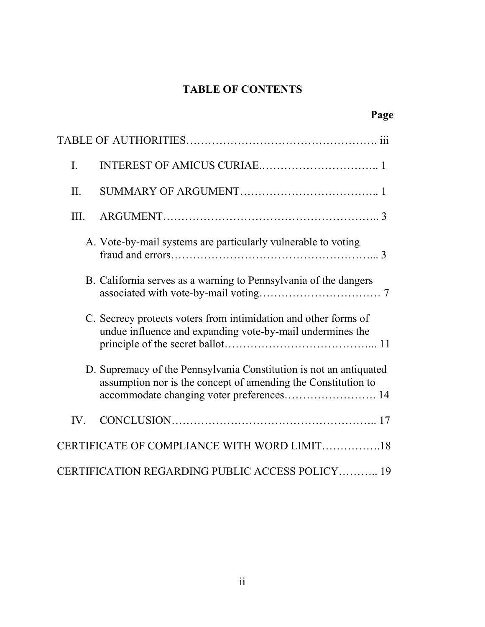# **TABLE OF CONTENTS**

| I.   |                                                                                                                                                                                  |  |
|------|----------------------------------------------------------------------------------------------------------------------------------------------------------------------------------|--|
| II.  |                                                                                                                                                                                  |  |
| III. |                                                                                                                                                                                  |  |
|      | A. Vote-by-mail systems are particularly vulnerable to voting                                                                                                                    |  |
|      | B. California serves as a warning to Pennsylvania of the dangers                                                                                                                 |  |
|      | C. Secrecy protects voters from intimidation and other forms of<br>undue influence and expanding vote-by-mail undermines the                                                     |  |
|      | D. Supremacy of the Pennsylvania Constitution is not an antiquated<br>assumption nor is the concept of amending the Constitution to<br>accommodate changing voter preferences 14 |  |
| IV.  |                                                                                                                                                                                  |  |
|      | CERTIFICATE OF COMPLIANCE WITH WORD LIMIT18                                                                                                                                      |  |
|      | CERTIFICATION REGARDING PUBLIC ACCESS POLICY 19                                                                                                                                  |  |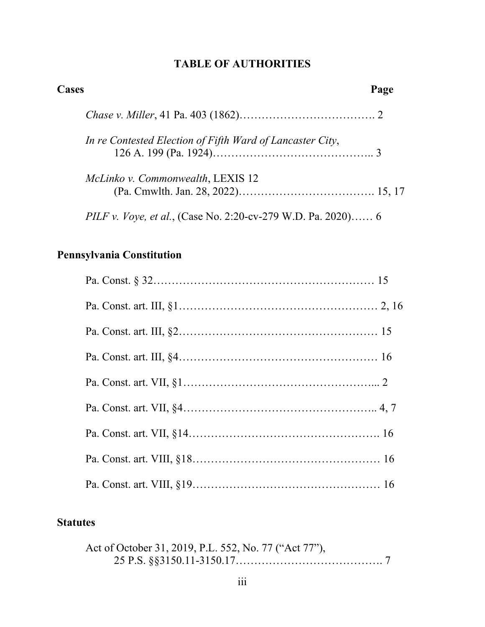# **TABLE OF AUTHORITIES**

| <b>Cases</b> |                                                                     | Page |
|--------------|---------------------------------------------------------------------|------|
|              |                                                                     |      |
|              | In re Contested Election of Fifth Ward of Lancaster City,           |      |
|              | McLinko v. Commonwealth, LEXIS 12                                   |      |
|              | <i>PILF v. Voye, et al.,</i> (Case No. 2:20-cv-279 W.D. Pa. 2020) 6 |      |

# **Pennsylvania Constitution**

# **Statutes**

| Act of October 31, 2019, P.L. 552, No. 77 ("Act 77"), |  |
|-------------------------------------------------------|--|
|                                                       |  |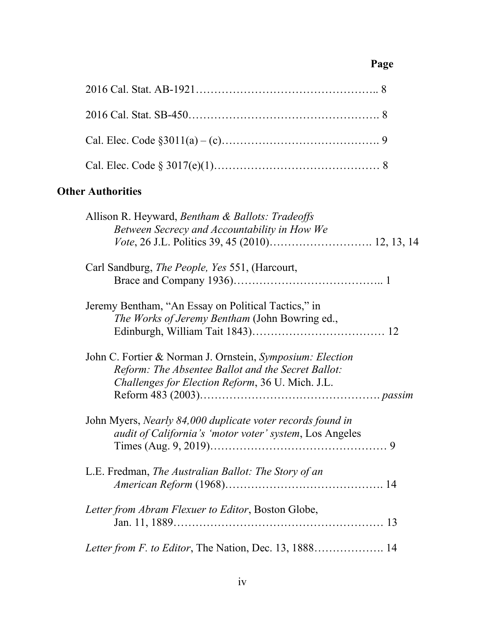# **Page**

# **Other Authorities**

| Allison R. Heyward, Bentham & Ballots: Tradeoffs<br>Between Secrecy and Accountability in How We                                                                    |
|---------------------------------------------------------------------------------------------------------------------------------------------------------------------|
| Carl Sandburg, <i>The People</i> , <i>Yes</i> 551, (Harcourt,                                                                                                       |
| Jeremy Bentham, "An Essay on Political Tactics," in<br>The Works of Jeremy Bentham (John Bowring ed.,                                                               |
| John C. Fortier & Norman J. Ornstein, Symposium: Election<br>Reform: The Absentee Ballot and the Secret Ballot:<br>Challenges for Election Reform, 36 U. Mich. J.L. |
| John Myers, Nearly 84,000 duplicate voter records found in<br><i>audit of California's 'motor voter' system</i> , Los Angeles                                       |
| L.E. Fredman, The Australian Ballot: The Story of an                                                                                                                |
| Letter from Abram Flexuer to Editor, Boston Globe,                                                                                                                  |
| Letter from F. to Editor, The Nation, Dec. 13, 1888 14                                                                                                              |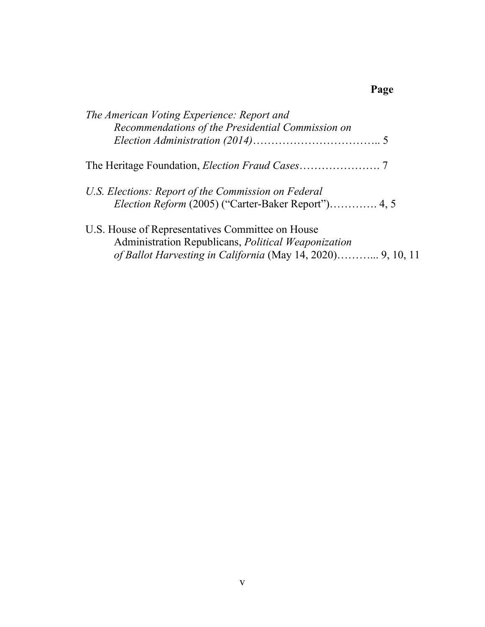# **Page**

| The American Voting Experience: Report and<br>Recommendations of the Presidential Commission on                                                                        |
|------------------------------------------------------------------------------------------------------------------------------------------------------------------------|
|                                                                                                                                                                        |
|                                                                                                                                                                        |
| U.S. Elections: Report of the Commission on Federal<br><i>Election Reform</i> (2005) ("Carter-Baker Report") 4, 5                                                      |
| U.S. House of Representatives Committee on House<br>Administration Republicans, Political Weaponization<br>of Ballot Harvesting in California (May 14, 2020) 9, 10, 11 |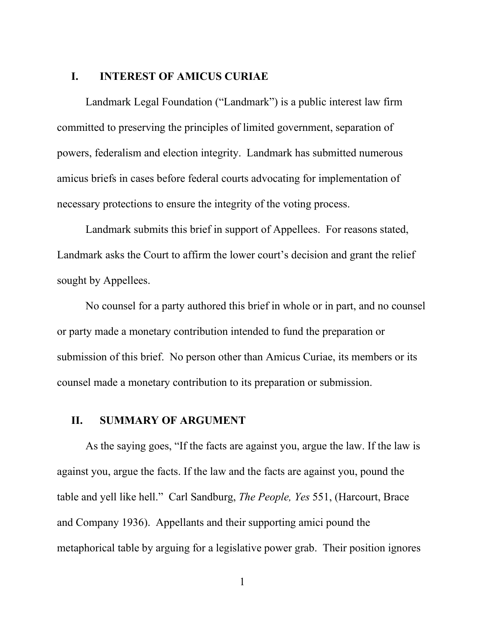#### **I. INTEREST OF AMICUS CURIAE**

Landmark Legal Foundation ("Landmark") is a public interest law firm committed to preserving the principles of limited government, separation of powers, federalism and election integrity. Landmark has submitted numerous amicus briefs in cases before federal courts advocating for implementation of necessary protections to ensure the integrity of the voting process.

Landmark submits this brief in support of Appellees. For reasons stated, Landmark asks the Court to affirm the lower court's decision and grant the relief sought by Appellees.

No counsel for a party authored this brief in whole or in part, and no counsel or party made a monetary contribution intended to fund the preparation or submission of this brief. No person other than Amicus Curiae, its members or its counsel made a monetary contribution to its preparation or submission.

#### **II. SUMMARY OF ARGUMENT**

As the saying goes, "If the facts are against you, argue the law. If the law is against you, argue the facts. If the law and the facts are against you, pound the table and yell like hell." Carl Sandburg, *The People, Yes* 551, (Harcourt, Brace and Company 1936). Appellants and their supporting amici pound the metaphorical table by arguing for a legislative power grab. Their position ignores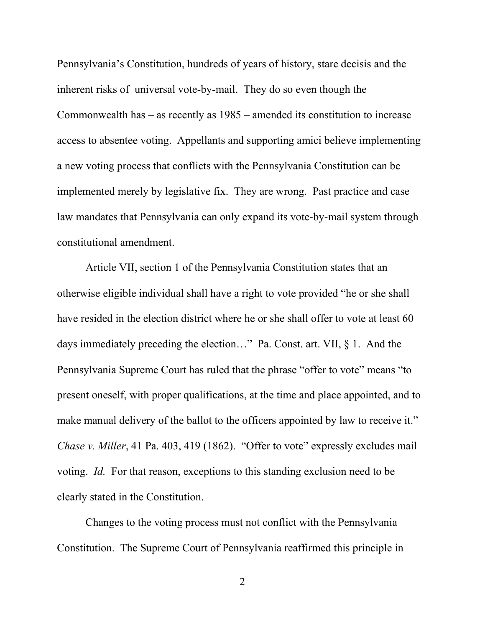Pennsylvania's Constitution, hundreds of years of history, stare decisis and the inherent risks of universal vote-by-mail. They do so even though the Commonwealth has – as recently as 1985 – amended its constitution to increase access to absentee voting. Appellants and supporting amici believe implementing a new voting process that conflicts with the Pennsylvania Constitution can be implemented merely by legislative fix. They are wrong. Past practice and case law mandates that Pennsylvania can only expand its vote-by-mail system through constitutional amendment.

Article VII, section 1 of the Pennsylvania Constitution states that an otherwise eligible individual shall have a right to vote provided "he or she shall have resided in the election district where he or she shall offer to vote at least 60 days immediately preceding the election…" Pa. Const. art. VII, § 1. And the Pennsylvania Supreme Court has ruled that the phrase "offer to vote" means "to present oneself, with proper qualifications, at the time and place appointed, and to make manual delivery of the ballot to the officers appointed by law to receive it." *Chase v. Miller*, 41 Pa. 403, 419 (1862). "Offer to vote" expressly excludes mail voting. *Id.* For that reason, exceptions to this standing exclusion need to be clearly stated in the Constitution.

Changes to the voting process must not conflict with the Pennsylvania Constitution. The Supreme Court of Pennsylvania reaffirmed this principle in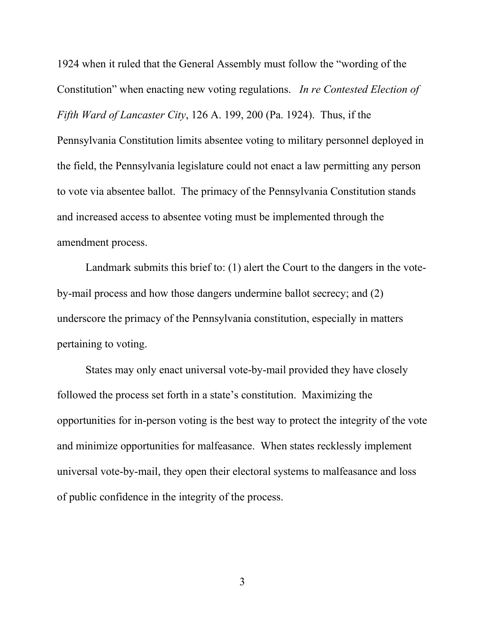1924 when it ruled that the General Assembly must follow the "wording of the Constitution" when enacting new voting regulations. *In re Contested Election of Fifth Ward of Lancaster City*, 126 A. 199, 200 (Pa. 1924). Thus, if the Pennsylvania Constitution limits absentee voting to military personnel deployed in the field, the Pennsylvania legislature could not enact a law permitting any person to vote via absentee ballot. The primacy of the Pennsylvania Constitution stands and increased access to absentee voting must be implemented through the amendment process.

Landmark submits this brief to: (1) alert the Court to the dangers in the voteby-mail process and how those dangers undermine ballot secrecy; and (2) underscore the primacy of the Pennsylvania constitution, especially in matters pertaining to voting.

States may only enact universal vote-by-mail provided they have closely followed the process set forth in a state's constitution. Maximizing the opportunities for in-person voting is the best way to protect the integrity of the vote and minimize opportunities for malfeasance. When states recklessly implement universal vote-by-mail, they open their electoral systems to malfeasance and loss of public confidence in the integrity of the process.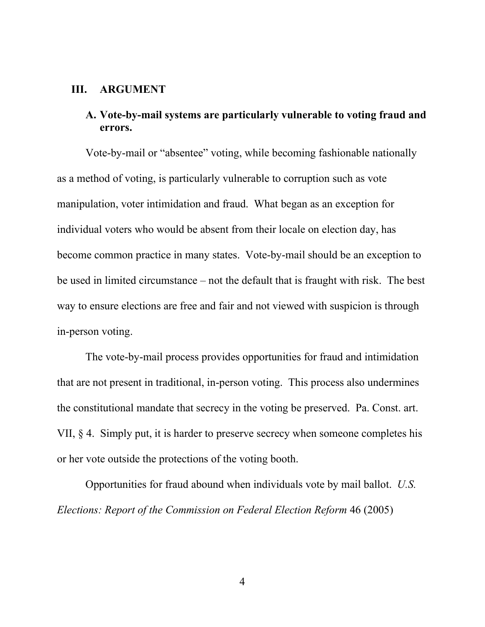#### **III. ARGUMENT**

### **A. Vote-by-mail systems are particularly vulnerable to voting fraud and errors.**

Vote-by-mail or "absentee" voting, while becoming fashionable nationally as a method of voting, is particularly vulnerable to corruption such as vote manipulation, voter intimidation and fraud. What began as an exception for individual voters who would be absent from their locale on election day, has become common practice in many states. Vote-by-mail should be an exception to be used in limited circumstance – not the default that is fraught with risk. The best way to ensure elections are free and fair and not viewed with suspicion is through in-person voting.

The vote-by-mail process provides opportunities for fraud and intimidation that are not present in traditional, in-person voting. This process also undermines the constitutional mandate that secrecy in the voting be preserved. Pa. Const. art. VII, § 4. Simply put, it is harder to preserve secrecy when someone completes his or her vote outside the protections of the voting booth.

Opportunities for fraud abound when individuals vote by mail ballot. *U.S. Elections: Report of the Commission on Federal Election Reform* 46 (2005)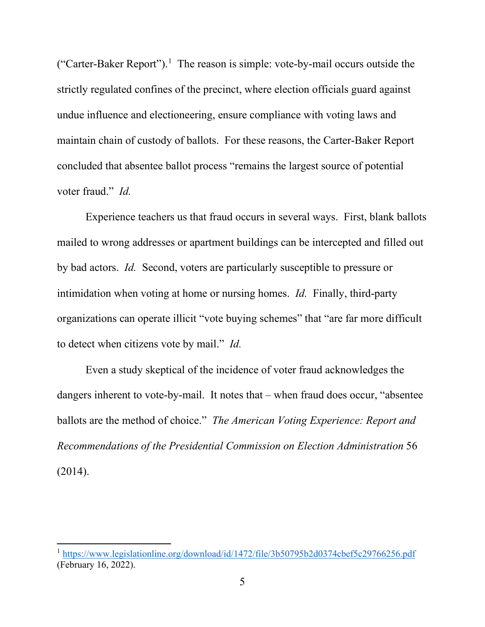("Carter-Baker Report").<sup>1</sup> The reason is simple: vote-by-mail occurs outside the strictly regulated confines of the precinct, where election officials guard against undue influence and electioneering, ensure compliance with voting laws and maintain chain of custody of ballots. For these reasons, the Carter-Baker Report concluded that absentee ballot process "remains the largest source of potential voter fraud." *Id.*

Experience teachers us that fraud occurs in several ways. First, blank ballots mailed to wrong addresses or apartment buildings can be intercepted and filled out by bad actors. *Id.* Second, voters are particularly susceptible to pressure or intimidation when voting at home or nursing homes. *Id.* Finally, third-party organizations can operate illicit "vote buying schemes" that "are far more difficult to detect when citizens vote by mail." *Id.*

Even a study skeptical of the incidence of voter fraud acknowledges the dangers inherent to vote-by-mail. It notes that – when fraud does occur, "absentee ballots are the method of choice." *The American Voting Experience: Report and Recommendations of the Presidential Commission on Election Administration* 56 (2014).

<span id="page-9-0"></span><sup>&</sup>lt;sup>1</sup> <https://www.legislationline.org/download/id/1472/file/3b50795b2d0374cbef5c29766256.pdf> (February 16, 2022).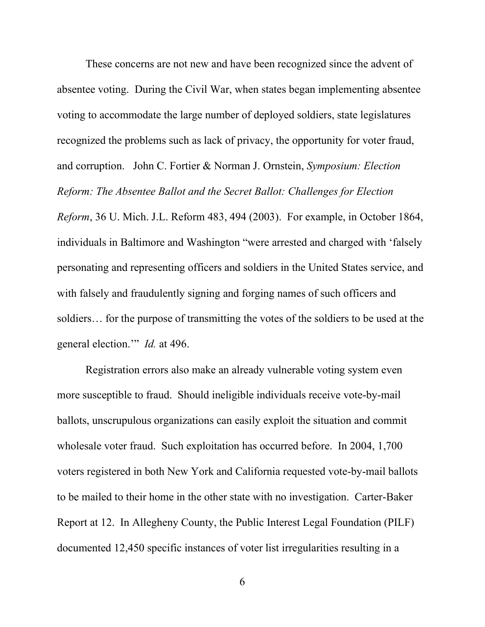These concerns are not new and have been recognized since the advent of absentee voting. During the Civil War, when states began implementing absentee voting to accommodate the large number of deployed soldiers, state legislatures recognized the problems such as lack of privacy, the opportunity for voter fraud, and corruption. John C. Fortier & Norman J. Ornstein, *Symposium: Election Reform: The Absentee Ballot and the Secret Ballot: Challenges for Election Reform*, 36 U. Mich. J.L. Reform 483, 494 (2003). For example, in October 1864, individuals in Baltimore and Washington "were arrested and charged with 'falsely personating and representing officers and soldiers in the United States service, and with falsely and fraudulently signing and forging names of such officers and soldiers… for the purpose of transmitting the votes of the soldiers to be used at the general election.'" *Id.* at 496.

Registration errors also make an already vulnerable voting system even more susceptible to fraud. Should ineligible individuals receive vote-by-mail ballots, unscrupulous organizations can easily exploit the situation and commit wholesale voter fraud. Such exploitation has occurred before. In 2004, 1,700 voters registered in both New York and California requested vote-by-mail ballots to be mailed to their home in the other state with no investigation. Carter-Baker Report at 12. In Allegheny County, the Public Interest Legal Foundation (PILF) documented 12,450 specific instances of voter list irregularities resulting in a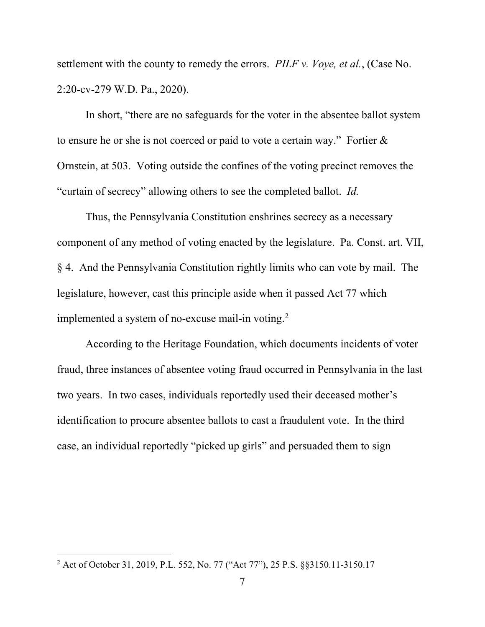settlement with the county to remedy the errors. *PILF v. Voye, et al.*, (Case No. 2:20-cv-279 W.D. Pa., 2020).

In short, "there are no safeguards for the voter in the absentee ballot system to ensure he or she is not coerced or paid to vote a certain way." Fortier & Ornstein, at 503. Voting outside the confines of the voting precinct removes the "curtain of secrecy" allowing others to see the completed ballot. *Id.*

Thus, the Pennsylvania Constitution enshrines secrecy as a necessary component of any method of voting enacted by the legislature. Pa. Const. art. VII, § 4. And the Pennsylvania Constitution rightly limits who can vote by mail. The legislature, however, cast this principle aside when it passed Act 77 which implemented a system of no-excuse mail-in voting.<sup>[2](#page-11-0)</sup>

According to the Heritage Foundation, which documents incidents of voter fraud, three instances of absentee voting fraud occurred in Pennsylvania in the last two years. In two cases, individuals reportedly used their deceased mother's identification to procure absentee ballots to cast a fraudulent vote. In the third case, an individual reportedly "picked up girls" and persuaded them to sign

<span id="page-11-0"></span><sup>2</sup> Act of October 31, 2019, P.L. 552, No. 77 ("Act 77"), 25 P.S. §§3150.11-3150.17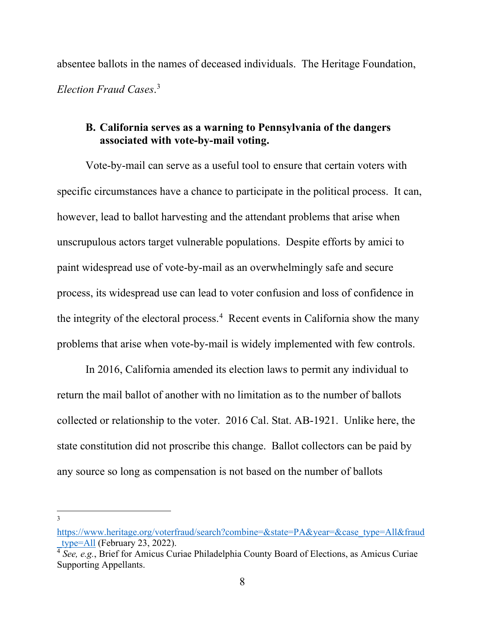absentee ballots in the names of deceased individuals. The Heritage Foundation, *Election Fraud Cases*. [3](#page-12-0)

### **B. California serves as a warning to Pennsylvania of the dangers associated with vote-by-mail voting.**

Vote-by-mail can serve as a useful tool to ensure that certain voters with specific circumstances have a chance to participate in the political process. It can, however, lead to ballot harvesting and the attendant problems that arise when unscrupulous actors target vulnerable populations. Despite efforts by amici to paint widespread use of vote-by-mail as an overwhelmingly safe and secure process, its widespread use can lead to voter confusion and loss of confidence in the integrity of the electoral process.<sup>[4](#page-12-1)</sup> Recent events in California show the many problems that arise when vote-by-mail is widely implemented with few controls.

In 2016, California amended its election laws to permit any individual to return the mail ballot of another with no limitation as to the number of ballots collected or relationship to the voter. 2016 Cal. Stat. AB-1921. Unlike here, the state constitution did not proscribe this change. Ballot collectors can be paid by any source so long as compensation is not based on the number of ballots

<span id="page-12-0"></span>[https://www.heritage.org/voterfraud/search?combine=&state=PA&year=&case\\_type=All&fraud](https://www.heritage.org/voterfraud/search?combine=&state=PA&year=&case_type=All&fraud_type=All) [\\_type=All](https://www.heritage.org/voterfraud/search?combine=&state=PA&year=&case_type=All&fraud_type=All) (February 23, 2022).

<span id="page-12-1"></span><sup>&</sup>lt;sup>4</sup> See, e.g., Brief for Amicus Curiae Philadelphia County Board of Elections, as Amicus Curiae Supporting Appellants.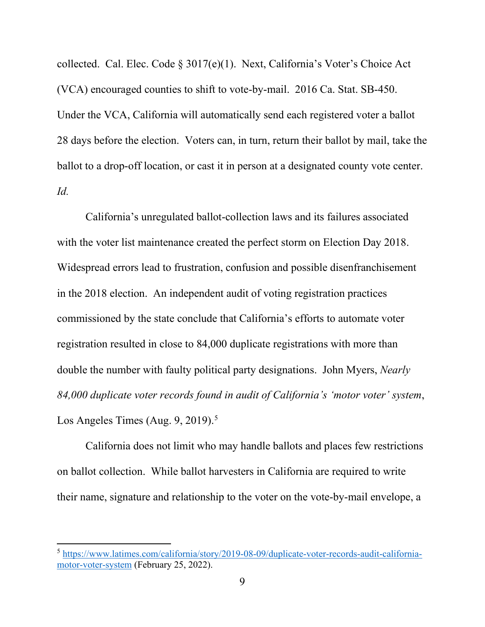collected. Cal. Elec. Code § 3017(e)(1). Next, California's Voter's Choice Act (VCA) encouraged counties to shift to vote-by-mail. 2016 Ca. Stat. SB-450. Under the VCA, California will automatically send each registered voter a ballot 28 days before the election. Voters can, in turn, return their ballot by mail, take the ballot to a drop-off location, or cast it in person at a designated county vote center. *Id.*

California's unregulated ballot-collection laws and its failures associated with the voter list maintenance created the perfect storm on Election Day 2018. Widespread errors lead to frustration, confusion and possible disenfranchisement in the 2018 election. An independent audit of voting registration practices commissioned by the state conclude that California's efforts to automate voter registration resulted in close to 84,000 duplicate registrations with more than double the number with faulty political party designations. John Myers, *Nearly 84,000 duplicate voter records found in audit of California's 'motor voter' system*, Los Angeles Times (Aug.  $9, 2019$ ).<sup>[5](#page-13-0)</sup>

California does not limit who may handle ballots and places few restrictions on ballot collection. While ballot harvesters in California are required to write their name, signature and relationship to the voter on the vote-by-mail envelope, a

<span id="page-13-0"></span><sup>5</sup> [https://www.latimes.com/california/story/2019-08-09/duplicate-voter-records-audit-california](https://www.latimes.com/california/story/2019-08-09/duplicate-voter-records-audit-california-motor-voter-system)[motor-voter-system](https://www.latimes.com/california/story/2019-08-09/duplicate-voter-records-audit-california-motor-voter-system) (February 25, 2022).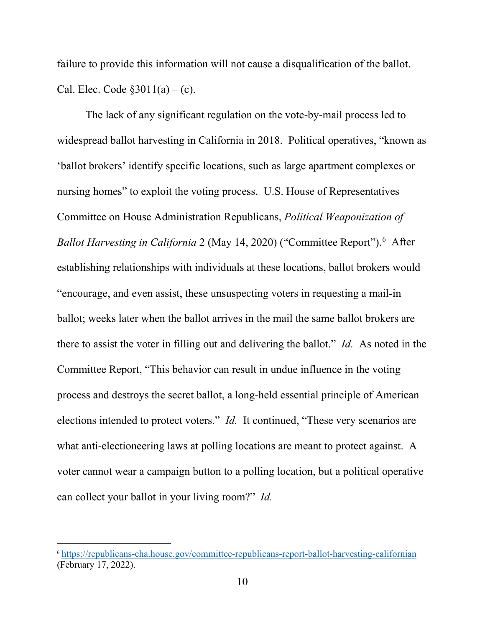failure to provide this information will not cause a disqualification of the ballot. Cal. Elec. Code  $$3011(a) - (c)$ .

The lack of any significant regulation on the vote-by-mail process led to widespread ballot harvesting in California in 2018. Political operatives, "known as 'ballot brokers' identify specific locations, such as large apartment complexes or nursing homes" to exploit the voting process. U.S. House of Representatives Committee on House Administration Republicans, *Political Weaponization of*  Ballot Harvesting in California 2 (May 14, 2020) ("Committee Report").<sup>[6](#page-14-0)</sup> After establishing relationships with individuals at these locations, ballot brokers would "encourage, and even assist, these unsuspecting voters in requesting a mail-in ballot; weeks later when the ballot arrives in the mail the same ballot brokers are there to assist the voter in filling out and delivering the ballot." *Id.* As noted in the Committee Report, "This behavior can result in undue influence in the voting process and destroys the secret ballot, a long-held essential principle of American elections intended to protect voters." *Id.* It continued, "These very scenarios are what anti-electioneering laws at polling locations are meant to protect against. A voter cannot wear a campaign button to a polling location, but a political operative can collect your ballot in your living room?" *Id.*

<span id="page-14-0"></span><sup>6</sup> <https://republicans-cha.house.gov/committee-republicans-report-ballot-harvesting-californian> (February 17, 2022).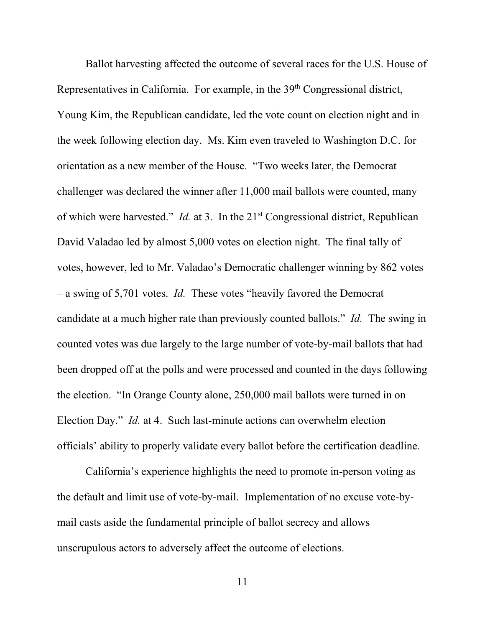Ballot harvesting affected the outcome of several races for the U.S. House of Representatives in California. For example, in the 39<sup>th</sup> Congressional district, Young Kim, the Republican candidate, led the vote count on election night and in the week following election day. Ms. Kim even traveled to Washington D.C. for orientation as a new member of the House. "Two weeks later, the Democrat challenger was declared the winner after 11,000 mail ballots were counted, many of which were harvested." *Id.* at 3. In the 21<sup>st</sup> Congressional district, Republican David Valadao led by almost 5,000 votes on election night. The final tally of votes, however, led to Mr. Valadao's Democratic challenger winning by 862 votes – a swing of 5,701 votes. *Id.* These votes "heavily favored the Democrat candidate at a much higher rate than previously counted ballots." *Id.* The swing in counted votes was due largely to the large number of vote-by-mail ballots that had been dropped off at the polls and were processed and counted in the days following the election. "In Orange County alone, 250,000 mail ballots were turned in on Election Day." *Id.* at 4. Such last-minute actions can overwhelm election officials' ability to properly validate every ballot before the certification deadline.

California's experience highlights the need to promote in-person voting as the default and limit use of vote-by-mail. Implementation of no excuse vote-bymail casts aside the fundamental principle of ballot secrecy and allows unscrupulous actors to adversely affect the outcome of elections.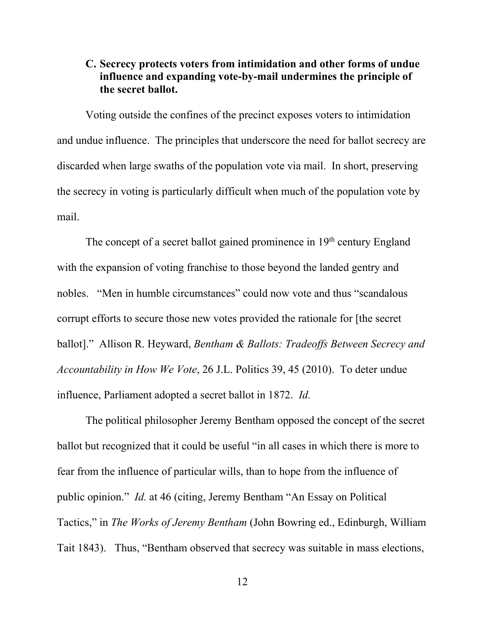### **C. Secrecy protects voters from intimidation and other forms of undue influence and expanding vote-by-mail undermines the principle of the secret ballot.**

Voting outside the confines of the precinct exposes voters to intimidation and undue influence. The principles that underscore the need for ballot secrecy are discarded when large swaths of the population vote via mail. In short, preserving the secrecy in voting is particularly difficult when much of the population vote by mail.

The concept of a secret ballot gained prominence in  $19<sup>th</sup>$  century England with the expansion of voting franchise to those beyond the landed gentry and nobles. "Men in humble circumstances" could now vote and thus "scandalous corrupt efforts to secure those new votes provided the rationale for [the secret ballot]." Allison R. Heyward, *Bentham & Ballots: Tradeoffs Between Secrecy and Accountability in How We Vote*, 26 J.L. Politics 39, 45 (2010). To deter undue influence, Parliament adopted a secret ballot in 1872. *Id.*

The political philosopher Jeremy Bentham opposed the concept of the secret ballot but recognized that it could be useful "in all cases in which there is more to fear from the influence of particular wills, than to hope from the influence of public opinion." *Id.* at 46 (citing, Jeremy Bentham "An Essay on Political Tactics," in *The Works of Jeremy Bentham* (John Bowring ed., Edinburgh, William Tait 1843). Thus, "Bentham observed that secrecy was suitable in mass elections,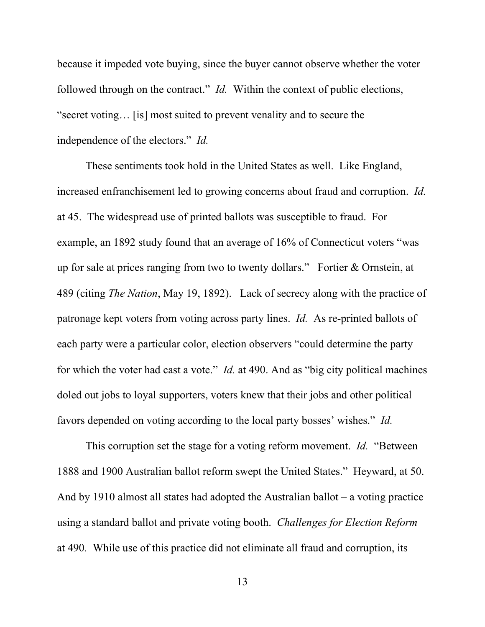because it impeded vote buying, since the buyer cannot observe whether the voter followed through on the contract." *Id.* Within the context of public elections, "secret voting… [is] most suited to prevent venality and to secure the independence of the electors." *Id.*

These sentiments took hold in the United States as well. Like England, increased enfranchisement led to growing concerns about fraud and corruption. *Id.* at 45. The widespread use of printed ballots was susceptible to fraud. For example, an 1892 study found that an average of 16% of Connecticut voters "was up for sale at prices ranging from two to twenty dollars." Fortier & Ornstein, at 489 (citing *The Nation*, May 19, 1892). Lack of secrecy along with the practice of patronage kept voters from voting across party lines. *Id.* As re-printed ballots of each party were a particular color, election observers "could determine the party for which the voter had cast a vote." *Id.* at 490. And as "big city political machines doled out jobs to loyal supporters, voters knew that their jobs and other political favors depended on voting according to the local party bosses' wishes." *Id.*

This corruption set the stage for a voting reform movement. *Id.* "Between 1888 and 1900 Australian ballot reform swept the United States." Heyward, at 50. And by 1910 almost all states had adopted the Australian ballot – a voting practice using a standard ballot and private voting booth. *Challenges for Election Reform* at 490*.* While use of this practice did not eliminate all fraud and corruption, its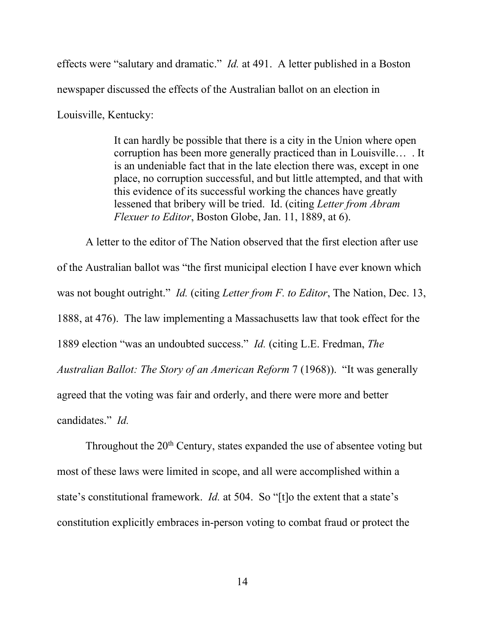effects were "salutary and dramatic." *Id.* at 491. A letter published in a Boston newspaper discussed the effects of the Australian ballot on an election in

Louisville, Kentucky:

It can hardly be possible that there is a city in the Union where open corruption has been more generally practiced than in Louisville… . It is an undeniable fact that in the late election there was, except in one place, no corruption successful, and but little attempted, and that with this evidence of its successful working the chances have greatly lessened that bribery will be tried. Id. (citing *Letter from Abram Flexuer to Editor*, Boston Globe, Jan. 11, 1889, at 6).

A letter to the editor of The Nation observed that the first election after use of the Australian ballot was "the first municipal election I have ever known which was not bought outright." *Id.* (citing *Letter from F. to Editor*, The Nation, Dec. 13, 1888, at 476). The law implementing a Massachusetts law that took effect for the 1889 election "was an undoubted success." *Id.* (citing L.E. Fredman, *The Australian Ballot: The Story of an American Reform* 7 (1968)). "It was generally agreed that the voting was fair and orderly, and there were more and better candidates." *Id.*

Throughout the  $20<sup>th</sup>$  Century, states expanded the use of absentee voting but most of these laws were limited in scope, and all were accomplished within a state's constitutional framework. *Id.* at 504. So "[t]o the extent that a state's constitution explicitly embraces in-person voting to combat fraud or protect the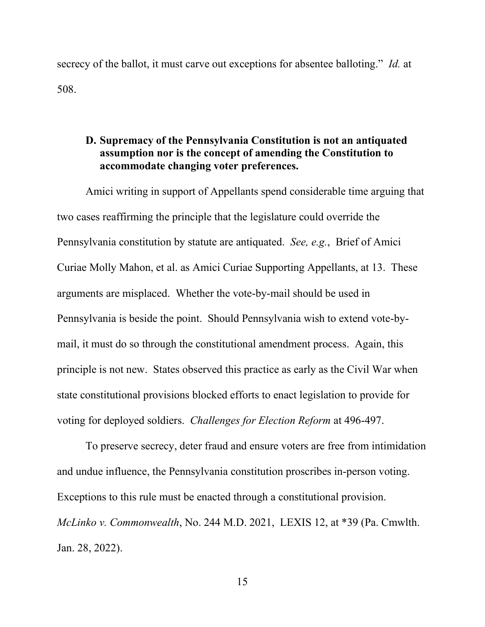secrecy of the ballot, it must carve out exceptions for absentee balloting." *Id.* at 508.

### **D. Supremacy of the Pennsylvania Constitution is not an antiquated assumption nor is the concept of amending the Constitution to accommodate changing voter preferences.**

Amici writing in support of Appellants spend considerable time arguing that two cases reaffirming the principle that the legislature could override the Pennsylvania constitution by statute are antiquated. *See, e.g.*, Brief of Amici Curiae Molly Mahon, et al. as Amici Curiae Supporting Appellants, at 13. These arguments are misplaced. Whether the vote-by-mail should be used in Pennsylvania is beside the point. Should Pennsylvania wish to extend vote-bymail, it must do so through the constitutional amendment process. Again, this principle is not new. States observed this practice as early as the Civil War when state constitutional provisions blocked efforts to enact legislation to provide for voting for deployed soldiers. *Challenges for Election Reform* at 496-497.

To preserve secrecy, deter fraud and ensure voters are free from intimidation and undue influence, the Pennsylvania constitution proscribes in-person voting. Exceptions to this rule must be enacted through a constitutional provision. *McLinko v. Commonwealth*, No. 244 M.D. 2021, LEXIS 12, at \*39 (Pa. Cmwlth. Jan. 28, 2022).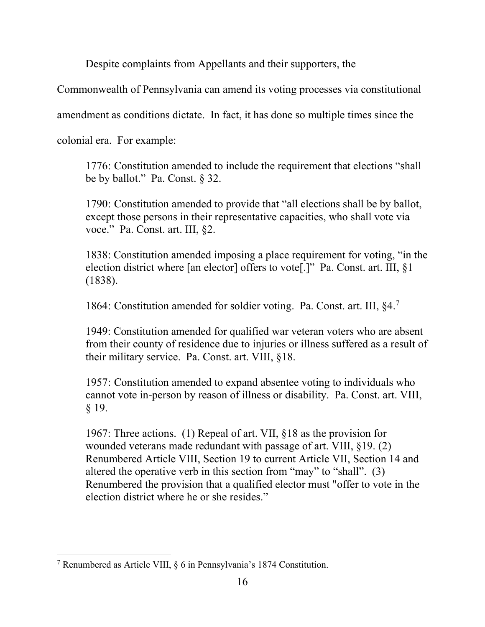Despite complaints from Appellants and their supporters, the

Commonwealth of Pennsylvania can amend its voting processes via constitutional

amendment as conditions dictate. In fact, it has done so multiple times since the

colonial era. For example:

1776: Constitution amended to include the requirement that elections "shall be by ballot." Pa. Const. § 32.

1790: Constitution amended to provide that "all elections shall be by ballot, except those persons in their representative capacities, who shall vote via voce." Pa. Const. art. III, §2.

1838: Constitution amended imposing a place requirement for voting, "in the election district where [an elector] offers to vote[.]" Pa. Const. art. III, §1 (1838).

1864: Constitution amended for soldier voting. Pa. Const. art. III, §4.[7](#page-20-0)

1949: Constitution amended for qualified war veteran voters who are absent from their county of residence due to injuries or illness suffered as a result of their military service. Pa. Const. art. VIII, §18.

1957: Constitution amended to expand absentee voting to individuals who cannot vote in-person by reason of illness or disability. Pa. Const. art. VIII, § 19.

1967: Three actions. (1) Repeal of art. VII, §18 as the provision for wounded veterans made redundant with passage of art. VIII, §19. (2) Renumbered Article VIII, Section 19 to current Article VII, Section 14 and altered the operative verb in this section from "may" to "shall". (3) Renumbered the provision that a qualified elector must "offer to vote in the election district where he or she resides."

<span id="page-20-0"></span><sup>7</sup> Renumbered as Article VIII, § 6 in Pennsylvania's 1874 Constitution.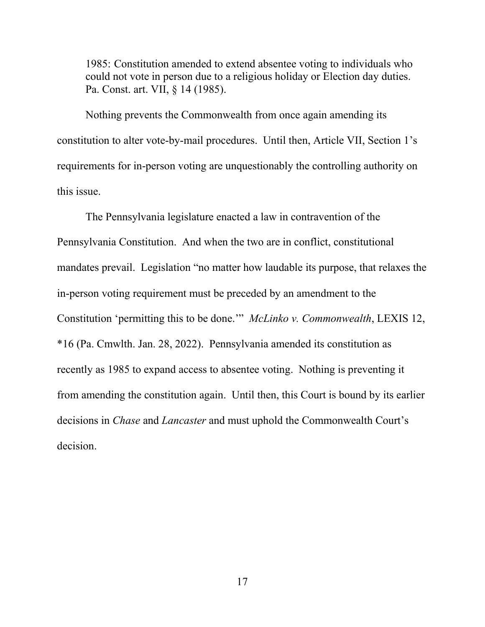1985: Constitution amended to extend absentee voting to individuals who could not vote in person due to a religious holiday or Election day duties. Pa. Const. art. VII, § 14 (1985).

Nothing prevents the Commonwealth from once again amending its constitution to alter vote-by-mail procedures. Until then, Article VII, Section 1's requirements for in-person voting are unquestionably the controlling authority on this issue.

The Pennsylvania legislature enacted a law in contravention of the Pennsylvania Constitution. And when the two are in conflict, constitutional mandates prevail. Legislation "no matter how laudable its purpose, that relaxes the in-person voting requirement must be preceded by an amendment to the Constitution 'permitting this to be done.'" *McLinko v. Commonwealth*, LEXIS 12, \*16 (Pa. Cmwlth. Jan. 28, 2022). Pennsylvania amended its constitution as recently as 1985 to expand access to absentee voting. Nothing is preventing it from amending the constitution again. Until then, this Court is bound by its earlier decisions in *Chase* and *Lancaster* and must uphold the Commonwealth Court's decision.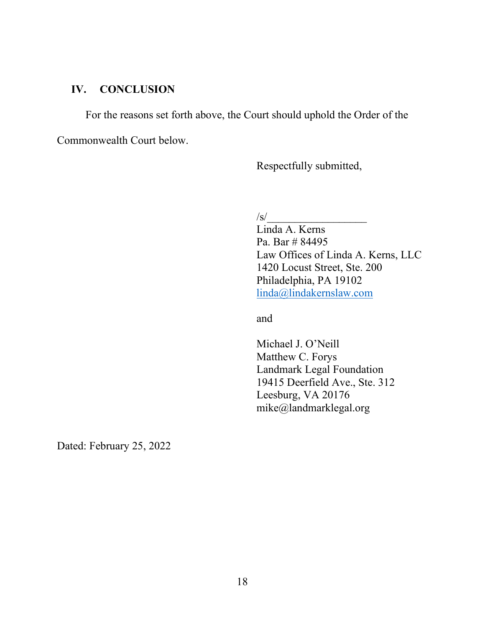## **IV. CONCLUSION**

For the reasons set forth above, the Court should uphold the Order of the

Commonwealth Court below.

Respectfully submitted,

 $\sqrt{s}$ /

Linda A. Kerns Pa. Bar # 84495 Law Offices of Linda A. Kerns, LLC 1420 Locust Street, Ste. 200 Philadelphia, PA 19102 [linda@lindakernslaw.com](mailto:linda@lindakernslaw.com)

and

Michael J. O'Neill Matthew C. Forys Landmark Legal Foundation 19415 Deerfield Ave., Ste. 312 Leesburg, VA 20176 mike@landmarklegal.org

Dated: February 25, 2022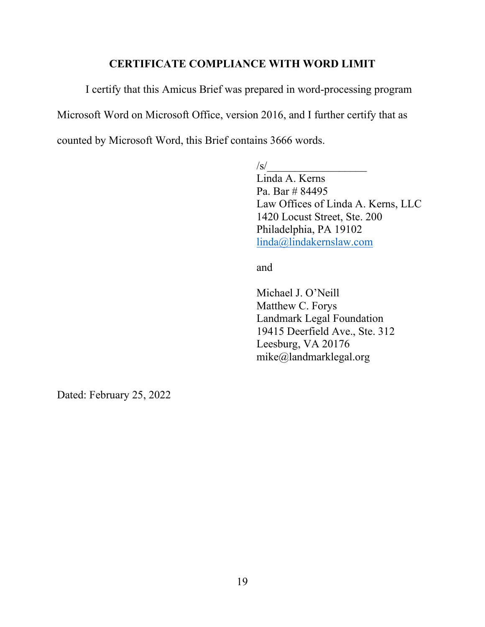#### **CERTIFICATE COMPLIANCE WITH WORD LIMIT**

I certify that this Amicus Brief was prepared in word-processing program Microsoft Word on Microsoft Office, version 2016, and I further certify that as counted by Microsoft Word, this Brief contains 3666 words.

 $/s/$ 

Linda A. Kerns Pa. Bar # 84495 Law Offices of Linda A. Kerns, LLC 1420 Locust Street, Ste. 200 Philadelphia, PA 19102 [linda@lindakernslaw.com](mailto:linda@lindakernslaw.com)

and

Michael J. O'Neill Matthew C. Forys Landmark Legal Foundation 19415 Deerfield Ave., Ste. 312 Leesburg, VA 20176 mike@landmarklegal.org

Dated: February 25, 2022